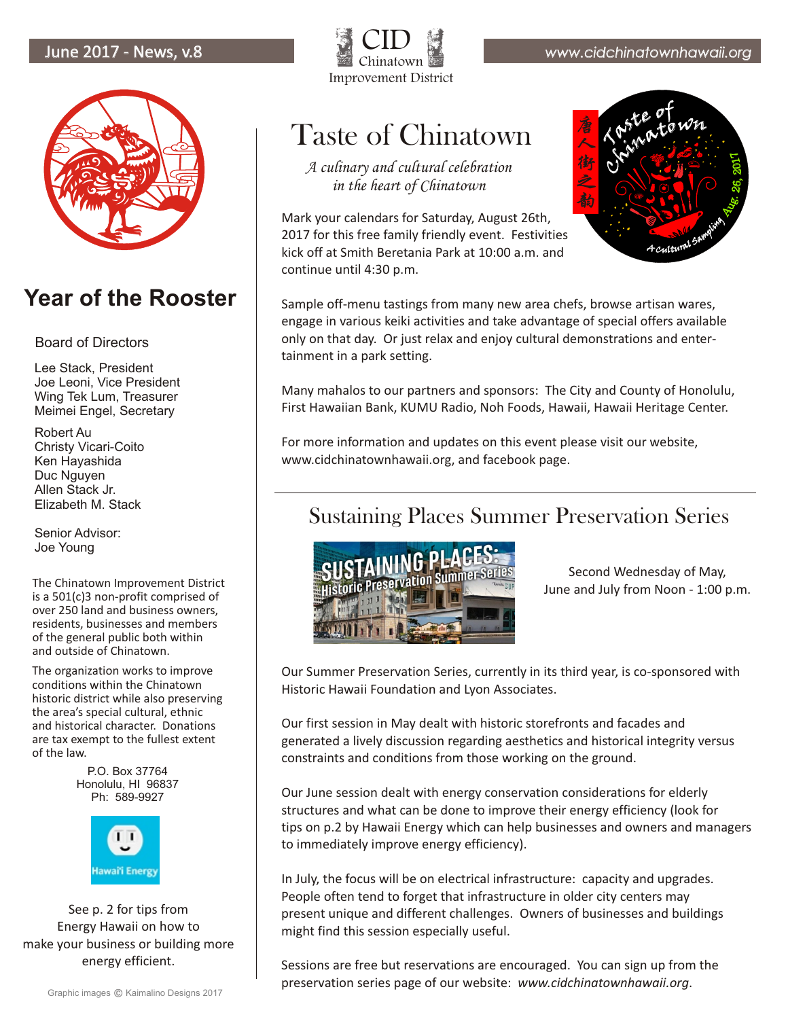

#### **Year of the Rooster**

#### Board of Directors

Lee Stack, President Joe Leoni, Vice President Wing Tek Lum, Treasurer Meimei Engel, Secretary

Robert Au Christy Vicari-Coito Ken Hayashida Duc Nguyen Allen Stack Jr. Elizabeth M. Stack

Senior Advisor: Joe Young

The Chinatown Improvement District is a 501(c)3 non-profit comprised of over 250 land and business owners, residents, businesses and members of the general public both within and outside of Chinatown.

The organization works to improve conditions within the Chinatown historic district while also preserving the area's special cultural, ethnic and historical character. Donations are tax exempt to the fullest extent of the law.

> P.O. Box 37764 Honolulu, HI 96837 Ph: 589-9927



energy efficient. See p. 2 for tips from Energy Hawaii on how to make your business or building more



# Taste of Chinatown

*A culinary and cultural celebration in the heart of Chinatown*

Mark your calendars for Saturday, August 26th, 2017 for this free family friendly event. Festivities kick off at Smith Beretania Park at 10:00 a.m. and continue until 4:30 p.m.



Sample off-menu tastings from many new area chefs, browse artisan wares, engage in various keiki activities and take advantage of special offers available only on that day. Or just relax and enjoy cultural demonstrations and entertainment in a park setting.

Many mahalos to our partners and sponsors: The City and County of Honolulu, First Hawaiian Bank, KUMU Radio, Noh Foods, Hawaii, Hawaii Heritage Center.

For more information and updates on this event please visit our website, www.cidchinatownhawaii.org, and facebook page.

#### Sustaining Places Summer Preservation Series



Second Wednesday of May, June and July from Noon - 1:00 p.m.

Our Summer Preservation Series, currently in its third year, is co-sponsored with Historic Hawaii Foundation and Lyon Associates.

Our first session in May dealt with historic storefronts and facades and generated a lively discussion regarding aesthetics and historical integrity versus constraints and conditions from those working on the ground.

Our June session dealt with energy conservation considerations for elderly structures and what can be done to improve their energy efficiency (look for tips on p.2 by Hawaii Energy which can help businesses and owners and managers to immediately improve energy efficiency).

In July, the focus will be on electrical infrastructure: capacity and upgrades. People often tend to forget that infrastructure in older city centers may present unique and different challenges. Owners of businesses and buildings might find this session especially useful.

Sessions are free but reservations are encouraged. You can sign up from the preservation series page of our website: *www.cidchinatownhawaii.org*.